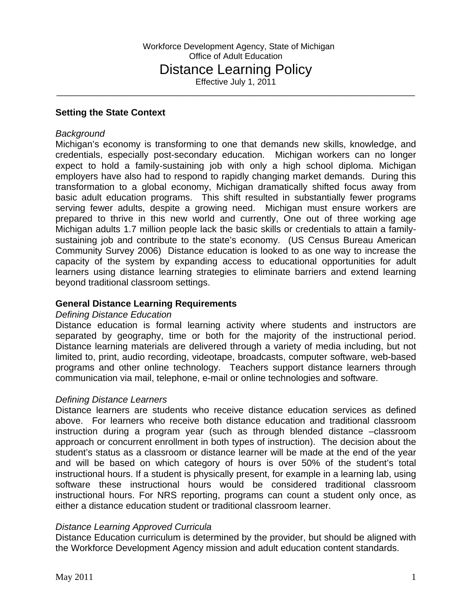\_\_\_\_\_\_\_\_\_\_\_\_\_\_\_\_\_\_\_\_\_\_\_\_\_\_\_\_\_\_\_\_\_\_\_\_\_\_\_\_\_\_\_\_\_\_\_\_\_\_\_\_\_\_\_\_\_\_\_\_\_\_\_\_\_\_\_\_\_\_\_\_\_\_\_\_

### **Setting the State Context**

#### *Background*

Michigan's economy is transforming to one that demands new skills, knowledge, and credentials, especially post-secondary education. Michigan workers can no longer expect to hold a family-sustaining job with only a high school diploma. Michigan employers have also had to respond to rapidly changing market demands. During this transformation to a global economy, Michigan dramatically shifted focus away from basic adult education programs. This shift resulted in substantially fewer programs serving fewer adults, despite a growing need. Michigan must ensure workers are prepared to thrive in this new world and currently, One out of three working age Michigan adults 1.7 million people lack the basic skills or credentials to attain a familysustaining job and contribute to the state's economy. (US Census Bureau American Community Survey 2006) Distance education is looked to as one way to increase the capacity of the system by expanding access to educational opportunities for adult learners using distance learning strategies to eliminate barriers and extend learning beyond traditional classroom settings.

#### **General Distance Learning Requirements**

#### *Defining Distance Education*

Distance education is formal learning activity where students and instructors are separated by geography, time or both for the majority of the instructional period. Distance learning materials are delivered through a variety of media including, but not limited to, print, audio recording, videotape, broadcasts, computer software, web-based programs and other online technology. Teachers support distance learners through communication via mail, telephone, e-mail or online technologies and software.

#### *Defining Distance Learners*

Distance learners are students who receive distance education services as defined above. For learners who receive both distance education and traditional classroom instruction during a program year (such as through blended distance –classroom approach or concurrent enrollment in both types of instruction). The decision about the student's status as a classroom or distance learner will be made at the end of the year and will be based on which category of hours is over 50% of the student's total instructional hours. If a student is physically present, for example in a learning lab, using software these instructional hours would be considered traditional classroom instructional hours. For NRS reporting, programs can count a student only once, as either a distance education student or traditional classroom learner.

#### *Distance Learning Approved Curricula*

Distance Education curriculum is determined by the provider, but should be aligned with the Workforce Development Agency mission and adult education content standards.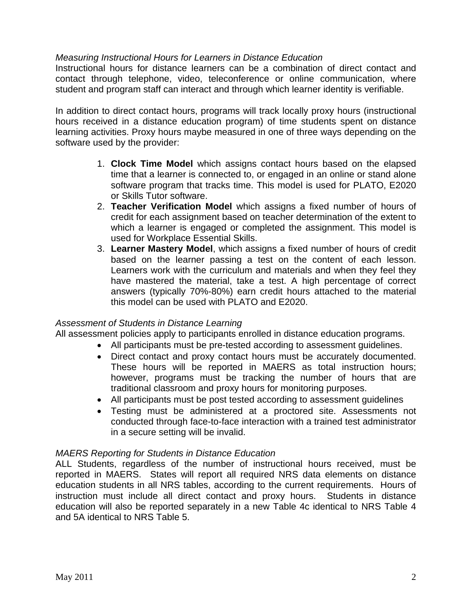## *Measuring Instructional Hours for Learners in Distance Education*

Instructional hours for distance learners can be a combination of direct contact and contact through telephone, video, teleconference or online communication, where student and program staff can interact and through which learner identity is verifiable.

In addition to direct contact hours, programs will track locally proxy hours (instructional hours received in a distance education program) of time students spent on distance learning activities. Proxy hours maybe measured in one of three ways depending on the software used by the provider:

- 1. **Clock Time Model** which assigns contact hours based on the elapsed time that a learner is connected to, or engaged in an online or stand alone software program that tracks time. This model is used for PLATO, E2020 or Skills Tutor software.
- 2. **Teacher Verification Model** which assigns a fixed number of hours of credit for each assignment based on teacher determination of the extent to which a learner is engaged or completed the assignment. This model is used for Workplace Essential Skills.
- 3. **Learner Mastery Model**, which assigns a fixed number of hours of credit based on the learner passing a test on the content of each lesson. Learners work with the curriculum and materials and when they feel they have mastered the material, take a test. A high percentage of correct answers (typically 70%-80%) earn credit hours attached to the material this model can be used with PLATO and E2020.

## *Assessment of Students in Distance Learning*

All assessment policies apply to participants enrolled in distance education programs.

- All participants must be pre-tested according to assessment guidelines.
	- Direct contact and proxy contact hours must be accurately documented. These hours will be reported in MAERS as total instruction hours; however, programs must be tracking the number of hours that are traditional classroom and proxy hours for monitoring purposes.
	- All participants must be post tested according to assessment guidelines
	- Testing must be administered at a proctored site. Assessments not conducted through face-to-face interaction with a trained test administrator in a secure setting will be invalid.

## *MAERS Reporting for Students in Distance Education*

ALL Students, regardless of the number of instructional hours received, must be reported in MAERS. States will report all required NRS data elements on distance education students in all NRS tables, according to the current requirements. Hours of instruction must include all direct contact and proxy hours. Students in distance education will also be reported separately in a new Table 4c identical to NRS Table 4 and 5A identical to NRS Table 5.